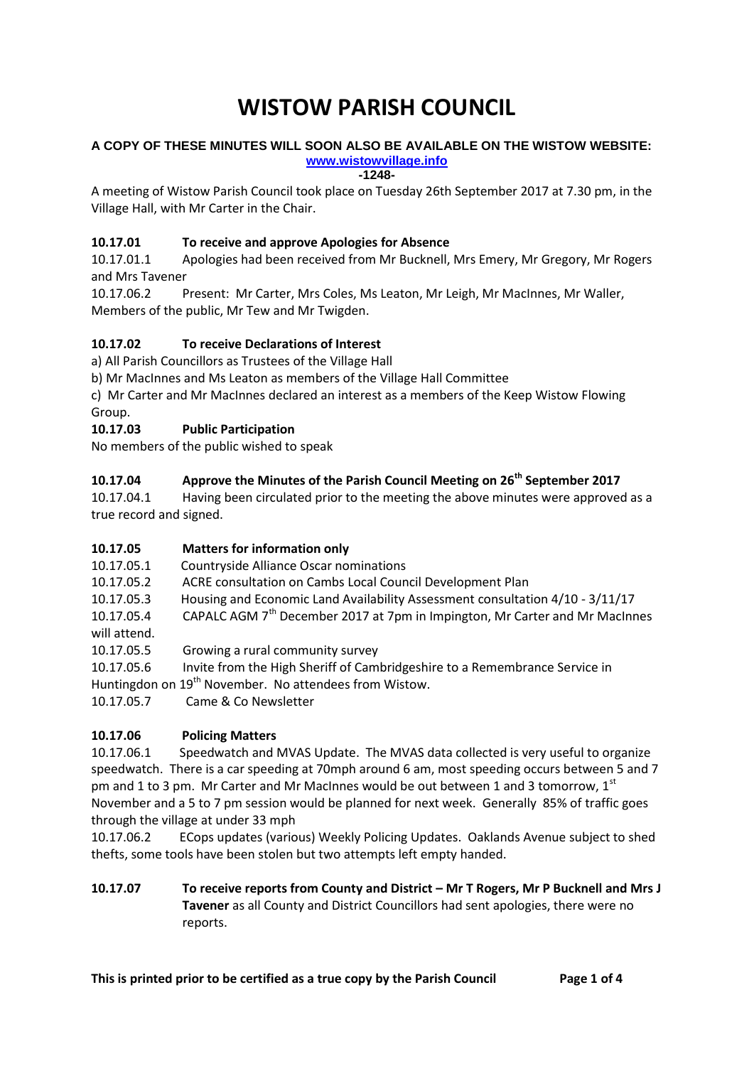# **WISTOW PARISH COUNCIL**

#### **A COPY OF THESE MINUTES WILL SOON ALSO BE AVAILABLE ON THE WISTOW WEBSITE: [www.wistowvillage.info](http://www.wistowvillage.info/)**

**-1248-**

A meeting of Wistow Parish Council took place on Tuesday 26th September 2017 at 7.30 pm, in the Village Hall, with Mr Carter in the Chair.

## **10.17.01 To receive and approve Apologies for Absence**

10.17.01.1 Apologies had been received from Mr Bucknell, Mrs Emery, Mr Gregory, Mr Rogers and Mrs Tavener

10.17.06.2 Present: Mr Carter, Mrs Coles, Ms Leaton, Mr Leigh, Mr MacInnes, Mr Waller, Members of the public, Mr Tew and Mr Twigden.

## **10.17.02 To receive Declarations of Interest**

a) All Parish Councillors as Trustees of the Village Hall

b) Mr MacInnes and Ms Leaton as members of the Village Hall Committee

c) Mr Carter and Mr MacInnes declared an interest as a members of the Keep Wistow Flowing Group.

# **10.17.03 Public Participation**

No members of the public wished to speak

## **10.17.04 Approve the Minutes of the Parish Council Meeting on 26th September 2017**

10.17.04.1 Having been circulated prior to the meeting the above minutes were approved as a true record and signed.

## **10.17.05 Matters for information only**

10.17.05.1 Countryside Alliance Oscar nominations

10.17.05.2 ACRE consultation on Cambs Local Council Development Plan

10.17.05.3 Housing and Economic Land Availability Assessment consultation 4/10 - 3/11/17

10.17.05.4 CAPALC AGM 7<sup>th</sup> December 2017 at 7pm in Impington, Mr Carter and Mr MacInnes

will attend.

10.17.05.5 Growing a rural community survey

10.17.05.6 Invite from the High Sheriff of Cambridgeshire to a Remembrance Service in

Huntingdon on 19<sup>th</sup> November. No attendees from Wistow.

10.17.05.7 Came & Co Newsletter

## **10.17.06 Policing Matters**

10.17.06.1 Speedwatch and MVAS Update. The MVAS data collected is very useful to organize speedwatch. There is a car speeding at 70mph around 6 am, most speeding occurs between 5 and 7 pm and 1 to 3 pm. Mr Carter and Mr MacInnes would be out between 1 and 3 tomorrow,  $1^{st}$ November and a 5 to 7 pm session would be planned for next week. Generally 85% of traffic goes through the village at under 33 mph

10.17.06.2 ECops updates (various) Weekly Policing Updates. Oaklands Avenue subject to shed thefts, some tools have been stolen but two attempts left empty handed.

**10.17.07 To receive reports from County and District – Mr T Rogers, Mr P Bucknell and Mrs J Tavener** as all County and District Councillors had sent apologies, there were no reports.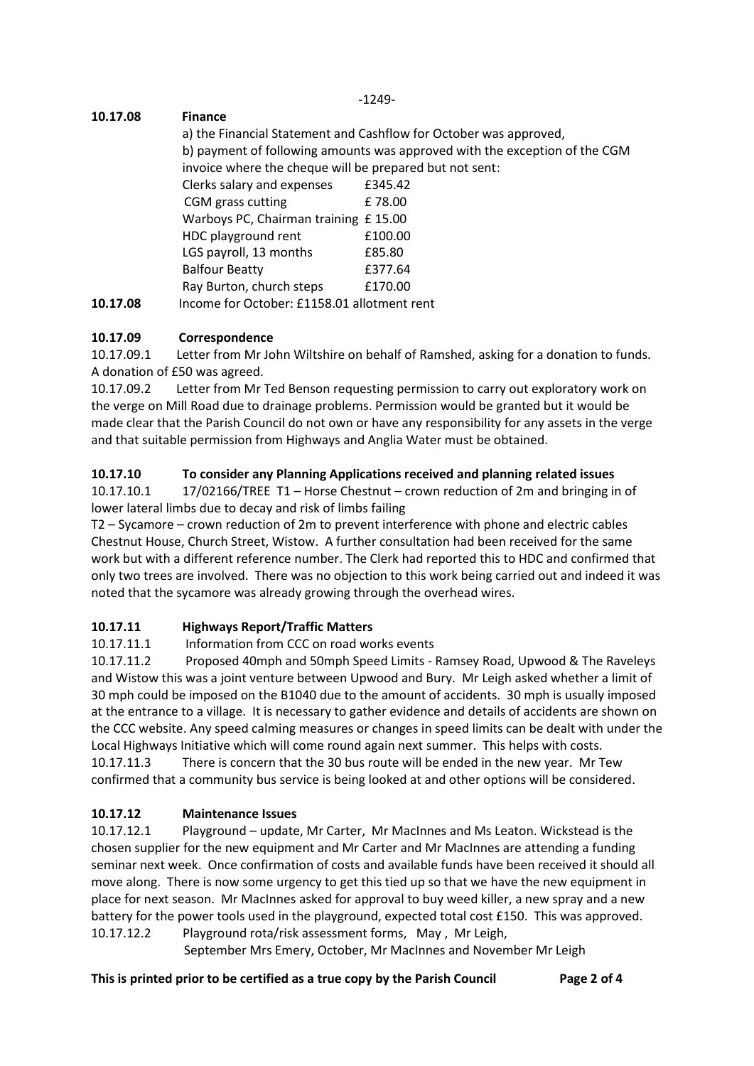-1249-

# **10.17.08 Finance**

a) the Financial Statement and Cashflow for October was approved, b) payment of following amounts was approved with the exception of the CGM invoice where the cheque will be prepared but not sent: Clerks salary and expenses £345.42 CGM grass cutting E 78.00 Warboys PC, Chairman training £ 15.00 HDC playground rent E100.00 LGS payroll, 13 months E85.80 Balfour Beatty £377.64 Ray Burton, church steps £170.00 **10.17.08** Income for October: £1158.01 allotment rent

# **10.17.09 Correspondence**

10.17.09.1 Letter from Mr John Wiltshire on behalf of Ramshed, asking for a donation to funds. A donation of £50 was agreed.

10.17.09.2 Letter from Mr Ted Benson requesting permission to carry out exploratory work on the verge on Mill Road due to drainage problems. Permission would be granted but it would be made clear that the Parish Council do not own or have any responsibility for any assets in the verge and that suitable permission from Highways and Anglia Water must be obtained.

# **10.17.10 To consider any Planning Applications received and planning related issues**

10.17.10.1 17/02166/TREE T1 – Horse Chestnut – crown reduction of 2m and bringing in of lower lateral limbs due to decay and risk of limbs failing

T2 – Sycamore – crown reduction of 2m to prevent interference with phone and electric cables Chestnut House, Church Street, Wistow. A further consultation had been received for the same work but with a different reference number. The Clerk had reported this to HDC and confirmed that only two trees are involved. There was no objection to this work being carried out and indeed it was noted that the sycamore was already growing through the overhead wires.

# **10.17.11 Highways Report/Traffic Matters**

10.17.11.1 Information from CCC on road works events

10.17.11.2 Proposed 40mph and 50mph Speed Limits - Ramsey Road, Upwood & The Raveleys and Wistow this was a joint venture between Upwood and Bury. Mr Leigh asked whether a limit of 30 mph could be imposed on the B1040 due to the amount of accidents. 30 mph is usually imposed at the entrance to a village. It is necessary to gather evidence and details of accidents are shown on the CCC website. Any speed calming measures or changes in speed limits can be dealt with under the Local Highways Initiative which will come round again next summer. This helps with costs.

10.17.11.3 There is concern that the 30 bus route will be ended in the new year. Mr Tew confirmed that a community bus service is being looked at and other options will be considered.

# **10.17.12 Maintenance Issues**

10.17.12.1 Playground – update, Mr Carter, Mr MacInnes and Ms Leaton. Wickstead is the chosen supplier for the new equipment and Mr Carter and Mr MacInnes are attending a funding seminar next week. Once confirmation of costs and available funds have been received it should all move along. There is now some urgency to get this tied up so that we have the new equipment in place for next season. Mr MacInnes asked for approval to buy weed killer, a new spray and a new battery for the power tools used in the playground, expected total cost £150. This was approved. 10.17.12.2 Playground rota/risk assessment forms, May , Mr Leigh,

September Mrs Emery, October, Mr MacInnes and November Mr Leigh

## **This is printed prior to be certified as a true copy by the Parish Council Page 2 of 4**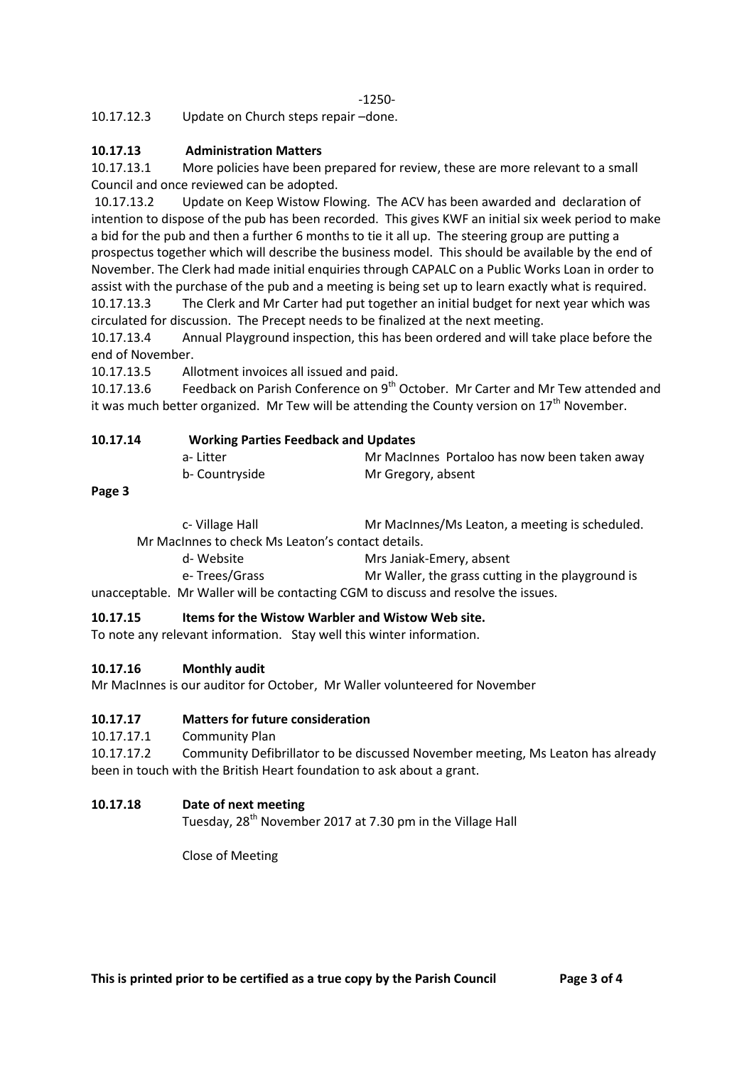10.17.12.3 Update on Church steps repair –done.

## **10.17.13 Administration Matters**

10.17.13.1 More policies have been prepared for review, these are more relevant to a small Council and once reviewed can be adopted.

10.17.13.2 Update on Keep Wistow Flowing. The ACV has been awarded and declaration of intention to dispose of the pub has been recorded. This gives KWF an initial six week period to make a bid for the pub and then a further 6 months to tie it all up. The steering group are putting a prospectus together which will describe the business model. This should be available by the end of November. The Clerk had made initial enquiries through CAPALC on a Public Works Loan in order to assist with the purchase of the pub and a meeting is being set up to learn exactly what is required. 10.17.13.3 The Clerk and Mr Carter had put together an initial budget for next year which was circulated for discussion. The Precept needs to be finalized at the next meeting.

10.17.13.4 Annual Playground inspection, this has been ordered and will take place before the end of November.

10.17.13.5 Allotment invoices all issued and paid.

10.17.13.6 Feedback on Parish Conference on 9<sup>th</sup> October. Mr Carter and Mr Tew attended and it was much better organized. Mr Tew will be attending the County version on  $17<sup>th</sup>$  November.

| 10.17.14 | <b>Working Parties Feedback and Updates</b> |                                              |
|----------|---------------------------------------------|----------------------------------------------|
|          | a-Litter                                    | Mr MacInnes Portaloo has now been taken away |
|          | b- Countryside                              | Mr Gregory, absent                           |

**Page 3**

| c- Village Hall                                                                                                                                                                                                                                                                                                                                                                                                                                                                       | Mr MacInnes/Ms Leaton, a meeting is scheduled.    |  |  |
|---------------------------------------------------------------------------------------------------------------------------------------------------------------------------------------------------------------------------------------------------------------------------------------------------------------------------------------------------------------------------------------------------------------------------------------------------------------------------------------|---------------------------------------------------|--|--|
| Mr MacInnes to check Ms Leaton's contact details.                                                                                                                                                                                                                                                                                                                                                                                                                                     |                                                   |  |  |
| d- Website                                                                                                                                                                                                                                                                                                                                                                                                                                                                            | Mrs Janiak-Emery, absent                          |  |  |
| e-Trees/Grass                                                                                                                                                                                                                                                                                                                                                                                                                                                                         | Mr Waller, the grass cutting in the playground is |  |  |
| $\mathbf{A} \cdot \mathbf{A} \cdot \mathbf{A} \cdot \mathbf{A} \cdot \mathbf{A} \cdot \mathbf{A} \cdot \mathbf{A} \cdot \mathbf{A} \cdot \mathbf{A} \cdot \mathbf{A} \cdot \mathbf{A} \cdot \mathbf{A} \cdot \mathbf{A} \cdot \mathbf{A} \cdot \mathbf{A} \cdot \mathbf{A} \cdot \mathbf{A} \cdot \mathbf{A} \cdot \mathbf{A} \cdot \mathbf{A} \cdot \mathbf{A} \cdot \mathbf{A} \cdot \mathbf{A} \cdot \mathbf{A} \cdot \mathbf{A} \cdot \mathbf{A} \cdot \mathbf{A} \cdot \mathbf{$ |                                                   |  |  |

unacceptable. Mr Waller will be contacting CGM to discuss and resolve the issues.

### **10.17.15 Items for the Wistow Warbler and Wistow Web site.**

To note any relevant information. Stay well this winter information.

### **10.17.16 Monthly audit**

Mr MacInnes is our auditor for October, Mr Waller volunteered for November

### **10.17.17 Matters for future consideration**

10.17.17.1 Community Plan

10.17.17.2 Community Defibrillator to be discussed November meeting, Ms Leaton has already been in touch with the British Heart foundation to ask about a grant.

### **10.17.18 Date of next meeting**

Tuesday, 28<sup>th</sup> November 2017 at 7.30 pm in the Village Hall

Close of Meeting